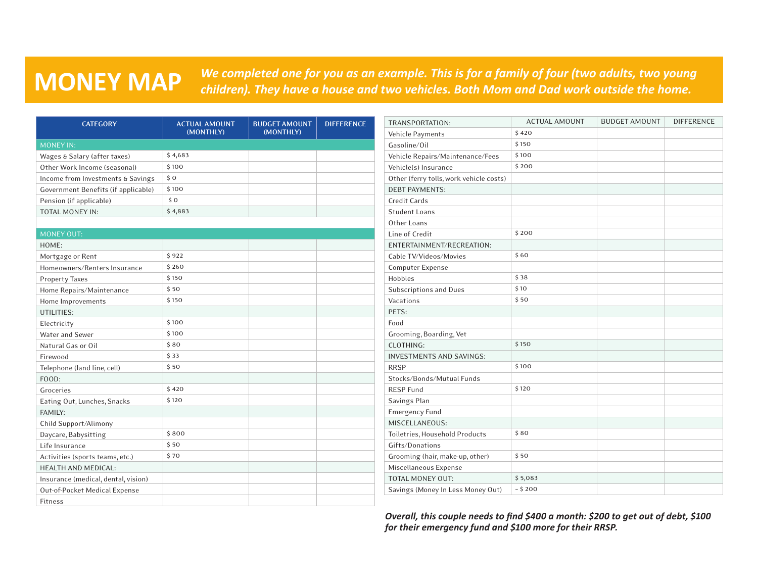## **MONEY MAP**

*We completed one for you as an example. This is for a family of four (two adults, two young children). They have a house and two vehicles. Both Mom and Dad work outside the home.*

| <b>CATEGORY</b>                     | <b>ACTUAL AMOUNT</b> | <b>BUDGET AMOUNT</b> | <b>DIFFERENCE</b> | TRANSPORTATION:                         | <b>ACTUAL AMOUNT</b> | <b>BUDGET AMOUNT</b> | <b>DIFFERENCE</b> |
|-------------------------------------|----------------------|----------------------|-------------------|-----------------------------------------|----------------------|----------------------|-------------------|
|                                     | (MONTHLY)            | (MONTHLY)            |                   | Vehicle Payments                        | \$420                |                      |                   |
| <b>MONEY IN:</b>                    |                      |                      |                   | Gasoline/Oil                            | \$150                |                      |                   |
| Wages & Salary (after taxes)        | \$4,683              |                      |                   | Vehicle Repairs/Maintenance/Fees        | \$100                |                      |                   |
| Other Work Income (seasonal)        | \$100                |                      |                   | Vehicle(s) Insurance                    | \$200                |                      |                   |
| Income from Investments & Savings   | \$0                  |                      |                   | Other (ferry tolls, work vehicle costs) |                      |                      |                   |
| Government Benefits (if applicable) | \$100                |                      |                   | <b>DEBT PAYMENTS:</b>                   |                      |                      |                   |
| Pension (if applicable)             | \$0                  |                      |                   | Credit Cards                            |                      |                      |                   |
| TOTAL MONEY IN:                     | \$4,883              |                      |                   | <b>Student Loans</b>                    |                      |                      |                   |
|                                     |                      |                      |                   | Other Loans                             |                      |                      |                   |
| <b>MONEY OUT:</b>                   |                      |                      |                   | Line of Credit                          | \$200                |                      |                   |
| HOME:                               |                      |                      |                   | ENTERTAINMENT/RECREATION:               |                      |                      |                   |
| Mortgage or Rent                    | \$922                |                      |                   | Cable TV/Videos/Movies                  | \$60                 |                      |                   |
| Homeowners/Renters Insurance        | \$260                |                      |                   | <b>Computer Expense</b>                 |                      |                      |                   |
| <b>Property Taxes</b>               | \$150                |                      |                   | Hobbies                                 | \$38                 |                      |                   |
| Home Repairs/Maintenance            | \$50                 |                      |                   | Subscriptions and Dues                  | \$10                 |                      |                   |
| Home Improvements                   | \$150                |                      |                   | Vacations                               | \$50                 |                      |                   |
| UTILITIES:                          |                      |                      |                   | PETS:                                   |                      |                      |                   |
| Electricity                         | \$100                |                      |                   | Food                                    |                      |                      |                   |
| Water and Sewer                     | \$100                |                      |                   | Grooming, Boarding, Vet                 |                      |                      |                   |
| Natural Gas or Oil                  | \$80                 |                      |                   | CLOTHING:                               | \$150                |                      |                   |
| Firewood                            | \$33                 |                      |                   | <b>INVESTMENTS AND SAVINGS:</b>         |                      |                      |                   |
| Telephone (land line, cell)         | \$50                 |                      |                   | <b>RRSP</b>                             | \$100                |                      |                   |
| FOOD:                               |                      |                      |                   | Stocks/Bonds/Mutual Funds               |                      |                      |                   |
| Groceries                           | \$420                |                      |                   | <b>RESP Fund</b>                        | \$120                |                      |                   |
| Eating Out, Lunches, Snacks         | \$120                |                      |                   | Savings Plan                            |                      |                      |                   |
| FAMILY:                             |                      |                      |                   | <b>Emergency Fund</b>                   |                      |                      |                   |
| Child Support/Alimony               |                      |                      |                   | MISCELLANEOUS:                          |                      |                      |                   |
| Daycare, Babysitting                | \$800                |                      |                   | Toiletries, Household Products          | \$80                 |                      |                   |
| Life Insurance                      | \$50                 |                      |                   | Gifts/Donations                         |                      |                      |                   |
| Activities (sports teams, etc.)     | \$70                 |                      |                   | Grooming (hair, make-up, other)         | \$50                 |                      |                   |
| <b>HEALTH AND MEDICAL:</b>          |                      |                      |                   | Miscellaneous Expense                   |                      |                      |                   |
| Insurance (medical, dental, vision) |                      |                      |                   | TOTAL MONEY OUT:                        | \$5,083              |                      |                   |
| Out-of-Pocket Medical Expense       |                      |                      |                   | Savings (Money In Less Money Out)       | $-5200$              |                      |                   |
| Fitness                             |                      |                      |                   |                                         |                      |                      |                   |

*Overall, this couple needs to find \$400 a month: \$200 to get out of debt, \$100 for their emergency fund and \$100 more for their RRSP.*